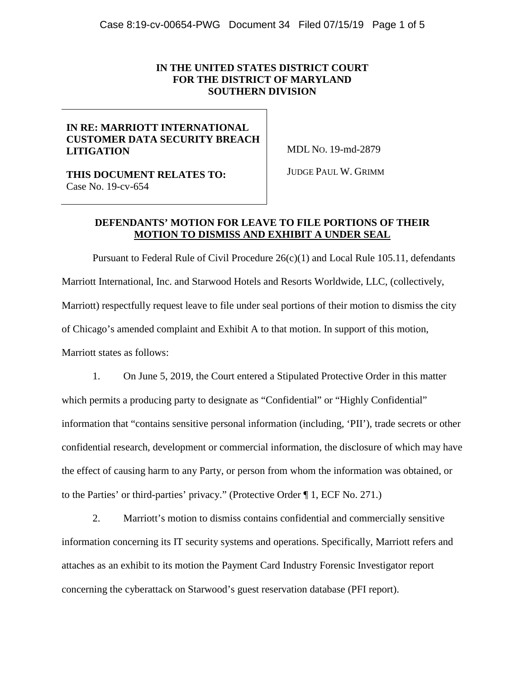### **IN THE UNITED STATES DISTRICT COURT FOR THE DISTRICT OF MARYLAND SOUTHERN DIVISION**

## **IN RE: MARRIOTT INTERNATIONAL CUSTOMER DATA SECURITY BREACH LITIGATION**

MDL NO. 19-md-2879

**THIS DOCUMENT RELATES TO:**  Case No. 19-cv-654

JUDGE PAUL W. GRIMM

## **DEFENDANTS' MOTION FOR LEAVE TO FILE PORTIONS OF THEIR MOTION TO DISMISS AND EXHIBIT A UNDER SEAL**

Pursuant to Federal Rule of Civil Procedure  $26(c)(1)$  and Local Rule 105.11, defendants Marriott International, Inc. and Starwood Hotels and Resorts Worldwide, LLC, (collectively, Marriott) respectfully request leave to file under seal portions of their motion to dismiss the city of Chicago's amended complaint and Exhibit A to that motion. In support of this motion, Marriott states as follows:

1. On June 5, 2019, the Court entered a Stipulated Protective Order in this matter which permits a producing party to designate as "Confidential" or "Highly Confidential" information that "contains sensitive personal information (including, 'PII'), trade secrets or other confidential research, development or commercial information, the disclosure of which may have the effect of causing harm to any Party, or person from whom the information was obtained, or to the Parties' or third-parties' privacy." (Protective Order ¶ 1, ECF No. 271.)

2. Marriott's motion to dismiss contains confidential and commercially sensitive information concerning its IT security systems and operations. Specifically, Marriott refers and attaches as an exhibit to its motion the Payment Card Industry Forensic Investigator report concerning the cyberattack on Starwood's guest reservation database (PFI report).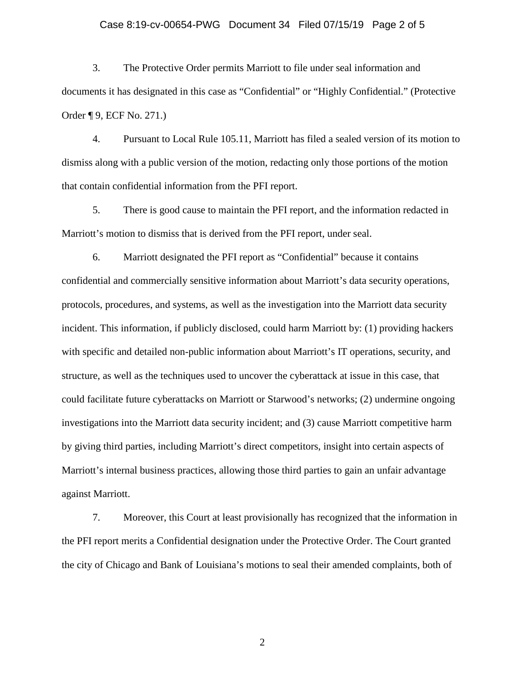#### Case 8:19-cv-00654-PWG Document 34 Filed 07/15/19 Page 2 of 5

3. The Protective Order permits Marriott to file under seal information and documents it has designated in this case as "Confidential" or "Highly Confidential." (Protective Order ¶ 9, ECF No. 271.)

4. Pursuant to Local Rule 105.11, Marriott has filed a sealed version of its motion to dismiss along with a public version of the motion, redacting only those portions of the motion that contain confidential information from the PFI report.

5. There is good cause to maintain the PFI report, and the information redacted in Marriott's motion to dismiss that is derived from the PFI report, under seal.

6. Marriott designated the PFI report as "Confidential" because it contains confidential and commercially sensitive information about Marriott's data security operations, protocols, procedures, and systems, as well as the investigation into the Marriott data security incident. This information, if publicly disclosed, could harm Marriott by: (1) providing hackers with specific and detailed non-public information about Marriott's IT operations, security, and structure, as well as the techniques used to uncover the cyberattack at issue in this case, that could facilitate future cyberattacks on Marriott or Starwood's networks; (2) undermine ongoing investigations into the Marriott data security incident; and (3) cause Marriott competitive harm by giving third parties, including Marriott's direct competitors, insight into certain aspects of Marriott's internal business practices, allowing those third parties to gain an unfair advantage against Marriott.

7. Moreover, this Court at least provisionally has recognized that the information in the PFI report merits a Confidential designation under the Protective Order. The Court granted the city of Chicago and Bank of Louisiana's motions to seal their amended complaints, both of

2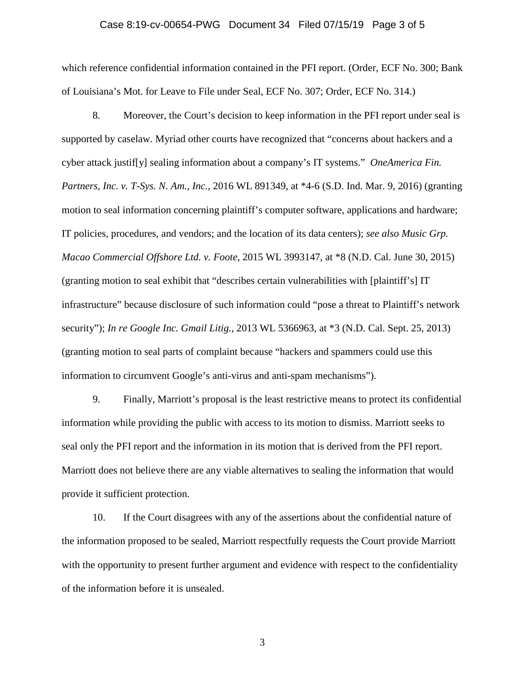#### Case 8:19-cv-00654-PWG Document 34 Filed 07/15/19 Page 3 of 5

which reference confidential information contained in the PFI report. (Order, ECF No. 300; Bank of Louisiana's Mot. for Leave to File under Seal, ECF No. 307; Order, ECF No. 314.)

8. Moreover, the Court's decision to keep information in the PFI report under seal is supported by caselaw. Myriad other courts have recognized that "concerns about hackers and a cyber attack justif[y] sealing information about a company's IT systems." *OneAmerica Fin. Partners, Inc. v. T-Sys. N. Am., Inc.*, 2016 WL 891349, at \*4-6 (S.D. Ind. Mar. 9, 2016) (granting motion to seal information concerning plaintiff's computer software, applications and hardware; IT policies, procedures, and vendors; and the location of its data centers); *see also Music Grp. Macao Commercial Offshore Ltd. v. Foote*, 2015 WL 3993147, at \*8 (N.D. Cal. June 30, 2015) (granting motion to seal exhibit that "describes certain vulnerabilities with [plaintiff's] IT infrastructure" because disclosure of such information could "pose a threat to Plaintiff's network security"); *In re Google Inc. Gmail Litig.*, 2013 WL 5366963, at \*3 (N.D. Cal. Sept. 25, 2013) (granting motion to seal parts of complaint because "hackers and spammers could use this information to circumvent Google's anti-virus and anti-spam mechanisms").

9. Finally, Marriott's proposal is the least restrictive means to protect its confidential information while providing the public with access to its motion to dismiss. Marriott seeks to seal only the PFI report and the information in its motion that is derived from the PFI report. Marriott does not believe there are any viable alternatives to sealing the information that would provide it sufficient protection.

10. If the Court disagrees with any of the assertions about the confidential nature of the information proposed to be sealed, Marriott respectfully requests the Court provide Marriott with the opportunity to present further argument and evidence with respect to the confidentiality of the information before it is unsealed.

3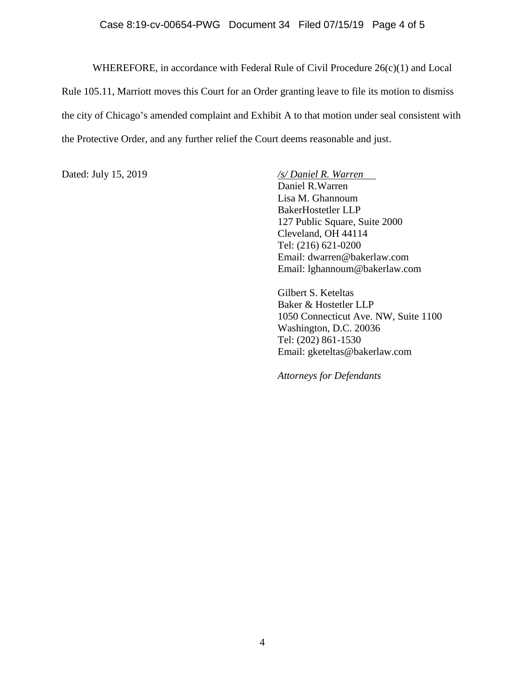#### Case 8:19-cv-00654-PWG Document 34 Filed 07/15/19 Page 4 of 5

WHEREFORE, in accordance with Federal Rule of Civil Procedure 26(c)(1) and Local Rule 105.11, Marriott moves this Court for an Order granting leave to file its motion to dismiss the city of Chicago's amended complaint and Exhibit A to that motion under seal consistent with the Protective Order, and any further relief the Court deems reasonable and just.

Dated: July 15, 2019 */s/ Daniel R. Warren*  Daniel R.Warren Lisa M. Ghannoum BakerHostetler LLP 127 Public Square, Suite 2000 Cleveland, OH 44114 Tel: (216) 621-0200 Email: dwarren@bakerlaw.com Email: lghannoum@bakerlaw.com

> Gilbert S. Keteltas Baker & Hostetler LLP 1050 Connecticut Ave. NW, Suite 1100 Washington, D.C. 20036 Tel: (202) 861-1530 Email: gketeltas@bakerlaw.com

*Attorneys for Defendants*